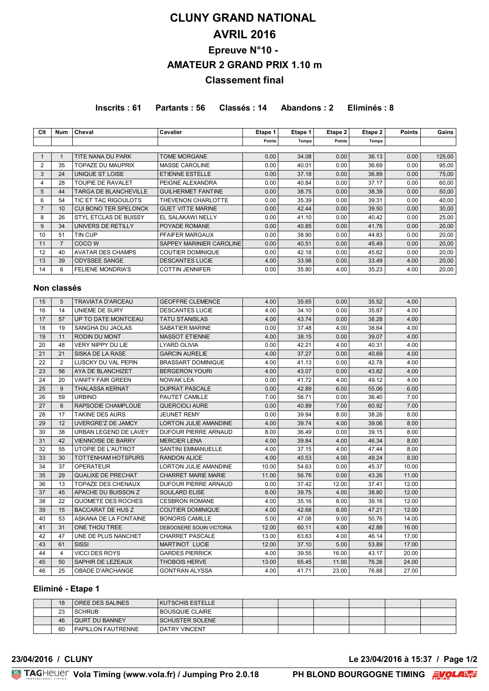# **CLUNY GRAND NATIONAL AVRIL 2016 Epreuve N°10 - AMATEUR 2 GRAND PRIX 1.10 m Classement final**

**Inscrits : 61 Partants : 56 Classés : 14 Abandons : 2 Eliminés : 8**

| Clt | Num | Cheval                       | <b>Cavalier</b>           | Etape 1           | Etape 1 | Etape 2 | Etape 2      | <b>Points</b> | Gains  |
|-----|-----|------------------------------|---------------------------|-------------------|---------|---------|--------------|---------------|--------|
|     |     |                              |                           | Points            | Temps   | Points  | <b>Temps</b> |               |        |
|     |     |                              |                           |                   |         |         |              |               |        |
|     |     | TITE NANA DU PARK            | <b>TOME MORGANE</b>       | 0.00              | 34.08   | 0.00    | 36.13        | 0.00          | 125,00 |
| 2   | 35  | <b>TOPAZE DU MAUPRIX</b>     | <b>MASSE CAROLINE</b>     | 0.00              | 40.01   | 0.00    | 36.69        | 0.00          | 95,00  |
| 3   | 24  | UNIQUE ST LOISE              | <b>ETIENNE ESTELLE</b>    | 0.00 <sub>1</sub> | 37.18   | 0.00    | 36.89        | 0.00          | 75,00  |
| 4   | 28  | <b>TOUPIE DE RAVALET</b>     | PEIGNE ALEXANDRA          | 0.00              | 40.84   | 0.00    | 37.17        | 0.00          | 60,00  |
| 5   | 44  | <b>TARGA DE BLANCHEVILLE</b> | <b>GUILHERMET FANTINE</b> | 0.00              | 38.75   | 0.00    | 38.39        | 0.00          | 50,00  |
| 6   | 54  | TIC ET TAC RIGOULOTS         | THEVENON CHARLOTTE        | 0.00              | 35.39   | 0.00    | 39.31        | 0.00          | 40,00  |
|     | 10  | <b>CUI BONO TER SPELONCK</b> | <b>GUET VITTE MARINE</b>  | 0.00              | 42.44   | 0.00    | 39.50        | 0.00          | 30,00  |
| 8   | 26  | STYL ETCLAS DE BUISSY        | EL SALAKAWI NELLY         | 0.00              | 41.10   | 0.00    | 40.42        | 0.00          | 25,00  |
| 9   | 34  | UNIVERS DE RETILLY           | POYADE ROMANE             | 0.00              | 40.85   | 0.00    | 41.76        | 0.00          | 20,00  |
| 10  | 51  | TIN CUP                      | PFAIFER MARGAUX           | 0.00              | 38.90   | 0.00    | 44.83        | 0.00          | 20,00  |
| 11  | 7   | COCO W                       | SAPPEY MARINIER CAROLINE  | 0.00              | 40.51   | 0.00    | 45.49        | 0.00          | 20,00  |
| 12  | 40  | <b>AVATAR DES CHAMPS</b>     | <b>COUTIER DOMINIQUE</b>  | 0.00              | 42.18   | 0.00    | 45.62        | 0.00          | 20,00  |
| 13  | 39  | <b>ODYSSEE SANGE</b>         | <b>DESCANTES LUCIE</b>    | 4.00              | 33.98   | 0.00    | 33.49        | 4.00          | 20,00  |
| 14  | 6   | <b>FELIENE MONDRIA'S</b>     | <b>COTTIN JENNIFER</b>    | 0.00              | 35.80   | 4.00    | 35.23        | 4.00          | 20,00  |

# **Non classés**

| 15 | 5              | <b>TRAVIATA D'ARCEAU</b>  | <b>GEOFFRE CLEMENCE</b>      | 4.00  | 35.65 | 0.00  | 35.52 | 4.00  |  |
|----|----------------|---------------------------|------------------------------|-------|-------|-------|-------|-------|--|
| 16 | 14             | UNIEME DE SURY            | <b>DESCANTES LUCIE</b>       | 4.00  | 34.10 | 0.00  | 35.87 | 4.00  |  |
| 17 | 57             | UP TO DATE MONTCEAU       | <b>TATU STANISLAS</b>        | 4.00  | 43.74 | 0.00  | 38.28 | 4.00  |  |
| 18 | 19             | SANGHA DU JAOLAS          | SABATIER MARINE              | 0.00  | 37.48 | 4.00  | 38.64 | 4.00  |  |
| 19 | 11             | <b>RODIN DU MONT</b>      | <b>MASSOT ETIENNE</b>        | 4.00  | 38.15 | 0.00  | 39.07 | 4.00  |  |
| 20 | 48             | <b>VERY NIPPY DU LIE</b>  | <b>LYARD OLIVIA</b>          | 0.00  | 42.21 | 4.00  | 40.31 | 4.00  |  |
| 21 | 21             | SISKA DE LA RASE          | <b>GARCIN AURELIE</b>        | 4.00  | 37.27 | 0.00  | 40.69 | 4.00  |  |
| 22 | $\overline{2}$ | LUSCKY DU VAL PEPIN       | <b>BRASSART DOMINIQUE</b>    | 4.00  | 41.13 | 0.00  | 42.78 | 4.00  |  |
| 23 | 56             | AYA DE BLANCHIZET         | <b>BERGERON YOURI</b>        | 4.00  | 43.07 | 0.00  | 43.82 | 4.00  |  |
| 24 | 20             | <b>VANITY FAIR GREEN</b>  | <b>NOWAK LEA</b>             | 0.00  | 41.72 | 4.00  | 49.12 | 4.00  |  |
| 25 | 9              | <b>THALASSA KERNAT</b>    | <b>DUPRAT PASCALE</b>        | 0.00  | 42.89 | 6.00  | 55.06 | 6.00  |  |
| 26 | 59             | <b>URBINO</b>             | PAUTET CAMILLE               | 7.00  | 56.71 | 0.00  | 36.40 | 7.00  |  |
| 27 | 8              | RAPSODIE CHAMPLOUE        | QUERCIOLI AURE               | 0.00  | 40.89 | 7.00  | 60.92 | 7.00  |  |
| 28 | 17             | <b>TAKINE DES AURS</b>    | <b>JEUNET REMY</b>           | 0.00  | 39.94 | 8.00  | 38.26 | 8.00  |  |
| 29 | 12             | <b>UVERGRE'Z DE JAMCY</b> | <b>LORTON JULIE AMANDINE</b> | 4.00  | 39.74 | 4.00  | 39.06 | 8.00  |  |
| 30 | 38             | URBAN LEGEND DE LAVEY     | DUFOUR PIERRE ARNAUD         | 8.00  | 36.49 | 0.00  | 39.15 | 8.00  |  |
| 31 | 42             | <b>VIENNOISE DE BARRY</b> | <b>MERCIER LENA</b>          | 4.00  | 39.84 | 4.00  | 46.34 | 8.00  |  |
| 32 | 55             | UTOPIE DE L'AUTROT        | SANTINI EMMANUELLE           | 4.00  | 37.15 | 4.00  | 47.44 | 8.00  |  |
| 33 | 30             | TOTTENHAM HOTSPURS        | <b>RANDON ALICE</b>          | 4.00  | 40.53 | 4.00  | 49.24 | 8.00  |  |
| 34 | 37             | <b>OPERATEUR</b>          | <b>LORTON JULIE AMANDINE</b> | 10.00 | 54.63 | 0.00  | 45.37 | 10.00 |  |
| 35 | 29             | <b>QUALIXE DE PRECHAT</b> | <b>CHARRET MARIE MARIE</b>   | 11.00 | 56.76 | 0.00  | 43.26 | 11.00 |  |
| 36 | 13             | <b>TOPAZE DES CHENAUX</b> | DUFOUR PIERRE ARNAUD         | 0.00  | 37.42 | 12.00 | 37.41 | 12.00 |  |
| 37 | 45             | APACHE DU BUISSON Z       | <b>SOULARD ELISE</b>         | 8.00  | 39.75 | 4.00  | 38.80 | 12.00 |  |
| 38 | 22             | QUOMETE DES ROCHES        | <b>CESBRON ROMANE</b>        | 4.00  | 35.16 | 8.00  | 39.16 | 12.00 |  |
| 39 | 15             | <b>BACCARAT DE HUS Z</b>  | COUTIER DOMINIQUE            | 4.00  | 42.68 | 8.00  | 47.21 | 12.00 |  |
| 40 | 53             | ASKANA DE LA FONTAINE     | <b>BONORIS CAMILLE</b>       | 5.00  | 47.08 | 9.00  | 50.76 | 14.00 |  |
| 41 | 31             | ONE THOU TREE             | DEBOOSERE SOUIN VICTORIA     | 12.00 | 60.11 | 4.00  | 42.88 | 16.00 |  |
| 42 | 47             | UNE DE PLUS NANCHET       | <b>CHARRET PASCALE</b>       | 13.00 | 63.63 | 4.00  | 46.14 | 17.00 |  |
| 43 | 61             | <b>SISSI</b>              | <b>MARTINOT LUCIE</b>        | 12.00 | 37.10 | 5.00  | 53.89 | 17.00 |  |
| 44 | 4              | <b>VICCI DES ROYS</b>     | <b>GARDES PIERRICK</b>       | 4.00  | 39.55 | 16.00 | 43.17 | 20.00 |  |
| 45 | 50             | SAPHIR DE LEZEAUX         | <b>THOBOIS HERVE</b>         | 13.00 | 65.45 | 11.00 | 76.26 | 24.00 |  |
| 46 | 25             | <b>OBADE D'ARCHANGE</b>   | <b>GONTRAN ALYSSA</b>        | 4.00  | 41.71 | 23.00 | 76.88 | 27.00 |  |

# **Eliminé - Etape 1**

| 18 | OREE DES SALINES      | <b>KUTSCHIS ESTELLE</b> |  |  |  |
|----|-----------------------|-------------------------|--|--|--|
| 23 | <b>SCHRUB</b>         | I BOUSQUIE CLAIRE       |  |  |  |
| 46 | <b>QURT DU BANNEY</b> | <b>SCHUSTER SOLENE</b>  |  |  |  |
| 60 | I PAPILLON FAUTRENNE  | <b>I DATRY VINCENT</b>  |  |  |  |

**23/04/2016 / CLUNY Le 23/04/2016 à 15:37 / Page 1/2**